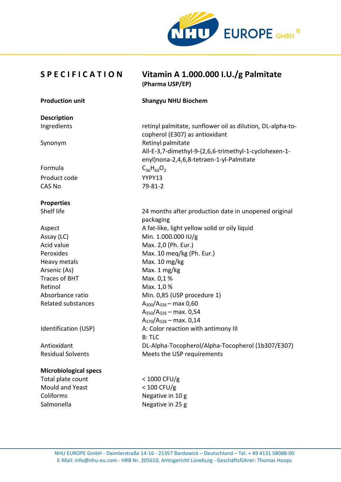

**Description**

**Properties**

## **S P E C I F I C A T I O N Vitamin A 1.000.000 I.U./g Palmitate (Pharma USP/EP)**

#### **Production unit Shangyu NHU Biochem**

Ingredients retinyl palmitate, sunflower oil as dilution, DL-alpha-tocopherol (E307) as antioxidant Synonym Retinyl palmitate All-E-3,7-dimethyl-9-(2,6,6-trimethyl-1-cyclohexen-1 enyl)nona-2,4,6,8-tetraen-1-yl-Palmitate Formula  $C_{36}H_{60}O_2$ Product code YYPY13 CAS No 79-81-2

Shelf life 24 months after production date in unopened original packaging A fat-like, light yellow solid or oily liquid Assay (LC) Min. 1.000.000 IU/g Acid value Max. 2,0 (Ph. Eur.) Peroxides Max. 10 meg/kg (Ph. Eur.) Heavy metals Max. 10 mg/kg Arsenic (As) Max. 1 mg/kg Traces of BHT Max. 0,1 % Retinol Max. 1,0 % Absorbance ratio Min. 0,85 (USP procedure 1) Related substances  $A_{300}/A_{326}$  – max 0,60  $A_{350}/A_{326}$  – max. 0,54  $A_{370}/A_{326}$  – max. 0,14 Identification (USP) A: Color reaction with antimony III B: TLC Antioxidant DL-Alpha-Tocopherol/Alpha-Tocopherol (1b307/E307) Residual Solvents Meets the USP requirements

### **Microbiological specs**

Total plate count < 1000 CFU/g Mould and Yeast < 100 CFU/g Coliforms Negative in 10 g Salmonella Negative in 25 g